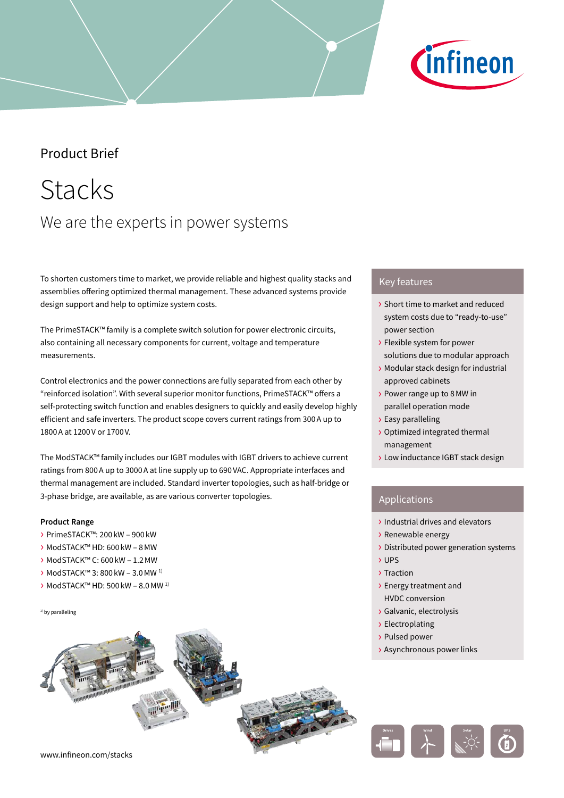# *C*infineon

### Product Brief

# Stacks We are the experts in power systems

To shorten customers time to market, we provide reliable and highest quality stacks and assemblies offering optimized thermal management. These advanced systems provide design support and help to optimize system costs.

The PrimeSTACK™ family is a complete switch solution for power electronic circuits, also containing all necessary components for current, voltage and temperature measurements.

Control electronics and the power connections are fully separated from each other by "reinforced isolation". With several superior monitor functions, PrimeSTACK™ offers a self-protecting switch function and enables designers to quickly and easily develop highly efficient and safe inverters. The product scope covers current ratings from 300A up to 1800A at 1200V or 1700V.

The ModSTACK™ family includes our IGBT modules with IGBT drivers to achieve current ratings from 800A up to 3000A at line supply up to 690VAC. Appropriate interfaces and thermal management are included. Standard inverter topologies, such as half-bridge or 3-phase bridge, are available, as are various converter topologies.

#### **Product Range**

- › PrimeSTACK™: 200 kW 900 kW
- › ModSTACK™ HD: 600 kW 8MW
- › ModSTACK™ C: 600 kW 1.2MW
- › ModSTACK™ 3: 800 kW 3.0MW 1)
- › ModSTACK™ HD: 500 kW 8.0MW 1)

<sup>1)</sup> by paralleling

#### Key features

- › Short time to market and reduced system costs due to "ready-to-use" power section
- › Flexible system for power solutions due to modular approach
- › Modular stack design for industrial approved cabinets
- › Power range up to 8MW in parallel operation mode
- › Easy paralleling
- › Optimized integrated thermal management
- › Low inductance IGBT stack design

#### Applications

- › Industrial drives and elevators
- › Renewable energy
- › Distributed power generation systems
- › UPS
- › Traction
- › Energy treatment and HVDC conversion
- › Galvanic, electrolysis
- › Electroplating
- › Pulsed power
- › Asynchronous power links

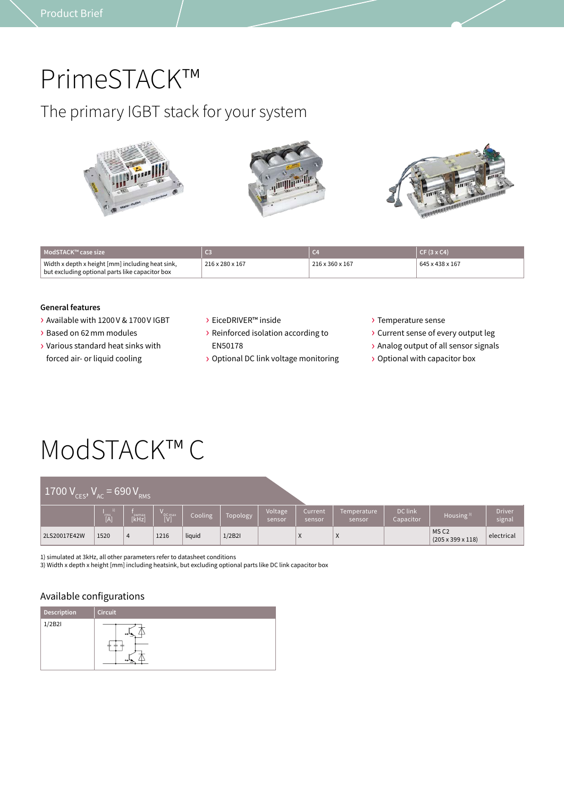### PrimeSTACK™

### The primary IGBT stack for your system



| ModSTACK™ case size                                                                                 |                 | C <sub>4</sub>  | $CF(3 \times C4)$ |
|-----------------------------------------------------------------------------------------------------|-----------------|-----------------|-------------------|
| Width x depth x height [mm] including heat sink,<br>but excluding optional parts like capacitor box | 216 x 280 x 167 | 216 x 360 x 167 | 645 x 438 x 167   |

#### **General features**

- › Available with 1200V & 1700V IGBT
- › Based on 62mm modules
- › Various standard heat sinks with forced air- or liquid cooling
- › EiceDRIVER™ inside
- › Reinforced isolation according to EN50178
- › Optional DC link voltage monitoring
- › Temperature sense
- › Current sense of every output leg
- › Analog output of all sensor signals
- › Optional with capacitor box

# ModSTACK™ C

| $-1700 V_{CES}$ , $v_{AC}$ | $V = 690 VRMS$ |                |               |         |          |                   |                   |                       |                      |                                                   |                         |
|----------------------------|----------------|----------------|---------------|---------|----------|-------------------|-------------------|-----------------------|----------------------|---------------------------------------------------|-------------------------|
|                            | `rms<br>[A]    | swmax<br>[kHz] | DC max<br>[V] | Cooling | Topology | Voltage<br>sensor | Current<br>sensor | Temperature<br>sensor | DC link<br>Capacitor | Housing $3)$                                      | <b>Driver</b><br>signal |
| 2LS20017E42W               | 1520           | 4              | 1216          | liquid  | 1/2B2I   |                   | X                 | X                     |                      | MS <sub>C2</sub><br>$(205 \times 399 \times 118)$ | electrical              |

1) simulated at 3kHz, all other parameters refer to datasheet conditions

3) Width x depth x height [mm] including heatsink, but excluding optional parts like DC link capacitor box

#### Available configurations

| Description | <b>Circuit</b> |
|-------------|----------------|
| 1/2B2I      | or-<br>لوه     |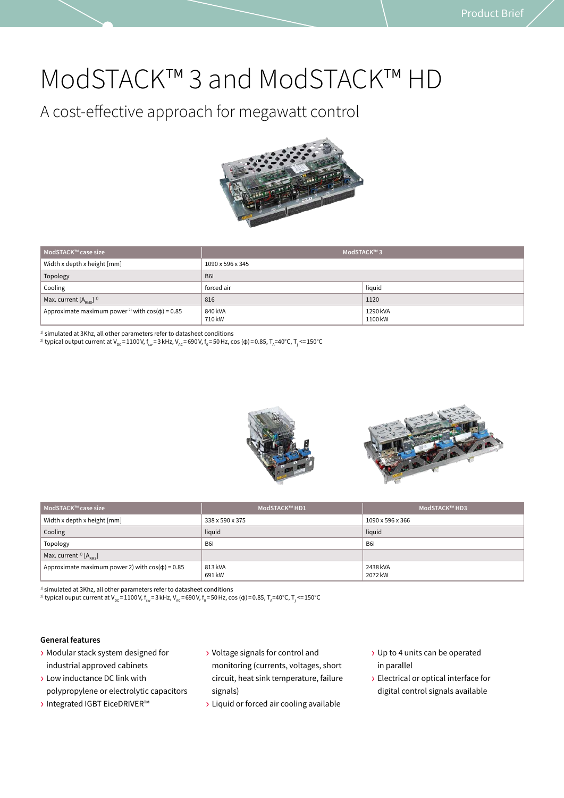### ModSTACK™ 3 and ModSTACK™ HD

A cost-effective approach for megawatt control



| ModSTACK™ case size                                             | ModSTACK™3        |                     |  |
|-----------------------------------------------------------------|-------------------|---------------------|--|
| Width x depth x height [mm]                                     | 1090 x 596 x 345  |                     |  |
| Topology                                                        | <b>B61</b>        |                     |  |
| Cooling                                                         | forced air        | liquid              |  |
| Max. current $[A_{\text{osc}}]$ <sup>1)</sup>                   | 816               | 1120                |  |
| Approximate maximum power <sup>2)</sup> with $cos(\phi) = 0.85$ | 840 kVA<br>710 kW | 1290 kVA<br>1100 kW |  |

 $^{\rm 1)}$  simulated at 3Khz, all other parameters refer to datasheet conditions

<sup>2)</sup> typical output current at V<sub>DC</sub>=1100 V, f<sub>sw</sub>=3 kHz, V<sub>AC</sub>=690 V, f<sub>0</sub>=50 Hz, cos (φ)=0.85, T<sub>A</sub>=40°C, T<sub>j</sub> <=150°C



| ModSTACK™ case size                                  | ModSTACK™ HD1     | ModSTACK™ HD3       |  |
|------------------------------------------------------|-------------------|---------------------|--|
| Width x depth x height [mm]                          | 338 x 590 x 375   | 1090 x 596 x 366    |  |
| Cooling                                              | liquid            | liquid              |  |
| Topology                                             | <b>B61</b>        | B <sub>6</sub>      |  |
| Max. current <sup>1)</sup> $[A_{\text{puc}}]$        |                   |                     |  |
| Approximate maximum power 2) with $cos(\phi) = 0.85$ | 813 kVA<br>691 kW | 2438 kVA<br>2072 kW |  |

 $1$ ) simulated at 3Khz, all other parameters refer to datasheet conditions

2) typical ouput current at V<sub>pc</sub>=1100 V, f<sub>sw</sub>=3 kHz, V<sub>AC</sub>=690 V, f $_{_0}$ =50 Hz, cos (φ)=0.85, T<sub>A</sub>=40°C, T<sub>j</sub> <=150°C

#### **General features**

- › Modular stack system designed for industrial approved cabinets
- › Low inductance DC link with polypropylene or electrolytic capacitors
- › Integrated IGBT EiceDRIVER™
- › Voltage signals for control and monitoring (currents, voltages, short circuit, heat sink temperature, failure signals)
- › Liquid or forced air cooling available
- › Up to 4 units can be operated in parallel
- › Electrical or optical interface for digital control signals available